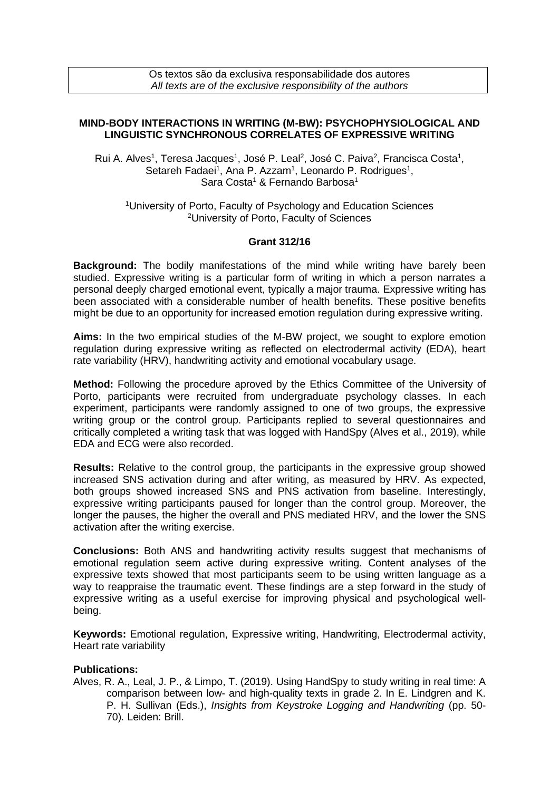Os textos são da exclusiva responsabilidade dos autores *All texts are of the exclusive responsibility of the authors*

## **MIND-BODY INTERACTIONS IN WRITING (M-BW): PSYCHOPHYSIOLOGICAL AND LINGUISTIC SYNCHRONOUS CORRELATES OF EXPRESSIVE WRITING**

Rui A. Alves<sup>1</sup>, Teresa Jacques<sup>1</sup>, José P. Leal<sup>2</sup>, José C. Paiva<sup>2</sup>, Francisca Costa<sup>1</sup>, Setareh Fadaei<sup>1</sup>, Ana P. Azzam<sup>1</sup>, Leonardo P. Rodrigues<sup>1</sup>, Sara Costa<sup>1</sup> & Fernando Barbosa<sup>1</sup>

<sup>1</sup>University of Porto, Faculty of Psychology and Education Sciences <sup>2</sup>University of Porto, Faculty of Sciences

## **Grant 312/16**

**Background:** The bodily manifestations of the mind while writing have barely been studied. Expressive writing is a particular form of writing in which a person narrates a personal deeply charged emotional event, typically a major trauma. Expressive writing has been associated with a considerable number of health benefits. These positive benefits might be due to an opportunity for increased emotion regulation during expressive writing.

**Aims:** In the two empirical studies of the M-BW project, we sought to explore emotion regulation during expressive writing as reflected on electrodermal activity (EDA), heart rate variability (HRV), handwriting activity and emotional vocabulary usage.

**Method:** Following the procedure aproved by the Ethics Committee of the University of Porto, participants were recruited from undergraduate psychology classes. In each experiment, participants were randomly assigned to one of two groups, the expressive writing group or the control group. Participants replied to several questionnaires and critically completed a writing task that was logged with HandSpy (Alves et al., 2019), while EDA and ECG were also recorded.

**Results:** Relative to the control group, the participants in the expressive group showed increased SNS activation during and after writing, as measured by HRV. As expected, both groups showed increased SNS and PNS activation from baseline. Interestingly, expressive writing participants paused for longer than the control group. Moreover, the longer the pauses, the higher the overall and PNS mediated HRV, and the lower the SNS activation after the writing exercise.

**Conclusions:** Both ANS and handwriting activity results suggest that mechanisms of emotional regulation seem active during expressive writing. Content analyses of the expressive texts showed that most participants seem to be using written language as a way to reappraise the traumatic event. These findings are a step forward in the study of expressive writing as a useful exercise for improving physical and psychological wellbeing.

**Keywords:** Emotional regulation, Expressive writing, Handwriting, Electrodermal activity, Heart rate variability

## **Publications:**

Alves, R. A., Leal, J. P., & Limpo, T. (2019). Using HandSpy to study writing in real time: A comparison between low- and high-quality texts in grade 2. In E. Lindgren and K. P. H. Sullivan (Eds.), *Insights from Keystroke Logging and Handwriting* (pp. 50- 70)*.* Leiden: Brill.